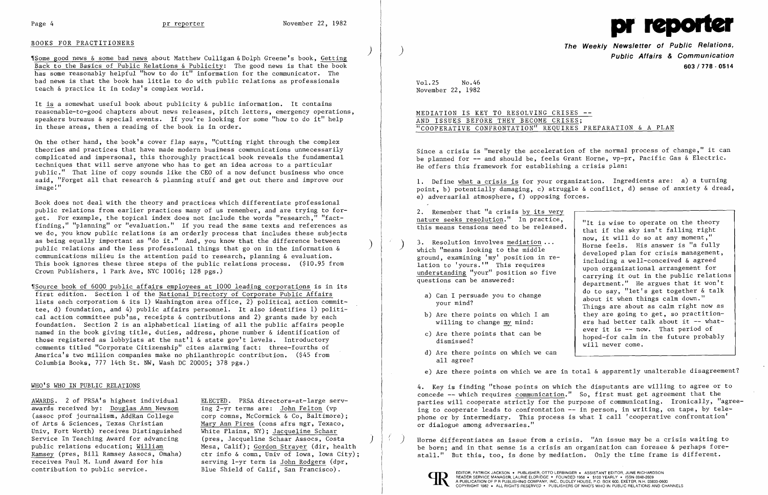

## BOOKS FOR PRACTITIONERS

) 'ISome good news & some bad news about Matthew Culligan & Dolph Greene's book, Getting Back to the Basics of Public Relations & Publicity: The good news is that the book has some reasonably helpful "how to do it" information for the communicator. The bad news is that the book has little to do with public relations as professionals teach & practice it in today's complex world.

It is a somewhat useful book about publicity & public information. It contains reasonable-to-good chapters about news releases, pitch letters, emergency operations, speakers bureaus & special events. If you're looking for some "how to do it" help in these areas, then a reading of the book is in order.

On the other hand, the book's cover flap says, "Cutting right through the complex theories and practices that have made modern business communications unnecessarily complicated and impersonal, this thoroughly practical book reveals the fundamental techniques that will serve anyone who has to get an idea across to a particular public." That line of copy sounds like the CEO of a now defunct business who once said, "Forget all that research & planning stuff and get out there and improve our image:"

Book does not deal with the theory and practices which differentiate professional public relations from earlier practices many of us remember, and are trying to for get. For example, the topical index does not include the words "research," "fact finding," "planning" or "evaluation." If you read the same texts and references as we do, you know public relations is an orderly process that includes these subjects as being equally important as "do it." And, you know that the difference between public relations and the less professional things that go on in the information  $\&$ communications milieu is the attention paid to research, planning & evaluation. This book ignores these three steps of the public relations process. (\$10.95 from Crown Publishers, 1 Park Ave, NYC 10016; 128 pgs.)

AWARDS. 2 of PRSA's highest individual awards received by: Douglas Ann Newsom (assoc prof journalism, AddRan College corp comns, McCormick & Co, Baltimore); of Arts & Sciences, Texas Christian Mary Ann Pires (cons afrs mgr, Texaco, Univ, Fort Worth) receives Distinguished White Plains, NY); Jacqueline Schaar Service In Teaching Award for advancing (pres, Jacqueline Schaar Assocs, Costa public relations education; William (Mesa, Calif); Gordon Strayer (dir, hear contribution to public service. Blue Shield of Calif, San Francisco).

ELECTED. PRSA directors-at-large serving 2-yr terms are: John Felton (vp Mesa, Calif); Gordon Strayer (dir, health Ramsey (pres, Bill Ramsey Assocs, Omaha) ctr info & comn, Univ of Iowa, Iowa City);<br>receives Paul M. Lund Award for his serving 1-vr term is John Rodgers (dpr. serving 1-yr term is John Rodgers (dpr,

 $\left( \right)$ 

# MEDIATION IS KEY TO RESOLVING CRISES --AND ISSUES BEFORE THEY BECOME CRISES; "COOPERATIVE CONFRONTATION" REQUIRES PREPARATION & A PLAN

Since a crisis is "merely the acceleration of the normal process of change," it can be planned for -- and should be, feels Grant Horne, vp-pr, Pacific Gas & Electric. He offers this framework for establishing a crisis plan:

2. Remember that "a crisis by its very nature seeks resolution." In practice,  $\frac{\text{matrix} \text{seess}}{\text{times}}$  resolution. In practice,  $\frac{\text{u}}{\text{u}}$  is wise to operate on the theory

,rSource book of 6000 public affairs employees at 1000 leading corporations is in its first edition. Section 1 of the National Directory of Corporate Public Affairs lists each corporation & its 1) Washington area office,  $\overline{2}$  political action committee, d) foundation, and 4) public affairs personnel. It also identifies 1) political action committee pub'ns, receipts & contributions and 2) grants made by each foundation. Section 2 is an alphabetical listing of all the public affairs people named in the book giving title, duties, address, phone number & identification of those registered as lobbyists at the nat'l & state gov't levels. Introductory comments titled "Corporate Citizenship" cites alarming fact: three-fourths of America's two million companies make no philanthropic contribution. (\$45 from Columbia Books, 777 14th St. NW, Wash DC 20005; 378 pgs.)

## WHO'S WHO IN PUBLIC RELATIONS

Horne differentiates an issue from a crisis. "An issue may be a crisis waiting to be born; and in that sense is a crisis an organization can foresee & perhaps forestall." But this, too, is done by mediation. Only the time frame is different.



EDITOR, PATRICK JACKSON • PUBLISHER, OTTO LERBINGER • ASSISTANT EDITOR, JUNE RICHARDSON<br>
READER SERVICE MANAGER, LAURIE ELDRIDGE • FOUNDED 1958 • \$100 YEARLY • ISSN 0048-2609<br>
COPYRIGHT 1982 • ALL RIGHTS RESERVED • PUBLISH READER SERVICE MANAGER, LAURIE ELDRIDGE · FOUNDED 1958 · \$100 YEARLY · ISSN 0048-2609

) **The Weekly Newsletter of Public Relations, Public Affairs & Communication 603/778·0514** 

Vol.25 November 22, 1982 No.46

1. Define what a crisis is for your organization. Ingredients are: a) a turning point, b) potentially damaging, c) struggle & conflict, d) sense of anxiety & dread, e) adversarial atmosphere, f) opposing forces.

- a) Can I persuade you to change your mind?
- b) Are there points on which I am willing to change my mind:
- c) Are there points that can be dismissed?
- d) Are there points on which we can all agree?
- 

3. Resolution involves mediation ... which "means looking to the middle ground, examining 'my' position in relation to 'yours.'" This requires understanding "your" position so five questions can be answered:

that if the sky isn't falling right now, it will do so at any moment," Horne feels. His answer is "a fully developed plan for crisis management, including a well-conceived & agreed upon organizational arrangement for carrying it out in the public relations department." He argues that it won't do to say, "let's get together & talk about it when things calm down." Things are about as calm right now as they are going to get, so practitioners had better talk about it  $-$  whatever it is -- now. That period of hoped-for calm in the future probably will never come.

e) Are there points on which we are in total & apparently unalterable disagreement?

4. Key is finding "those points on which the disputants are willing to agree or to concede -- which requires communication." So, first must get agreement that the parties will cooperate strictly for the purpose of communicating. Ironically, "agreeing to cooperate leads to confrontation -- in person, in writing, on tape, by telephone or by intermediary. This process is what I call 'cooperative confrontation' or dialogue among adversaries."